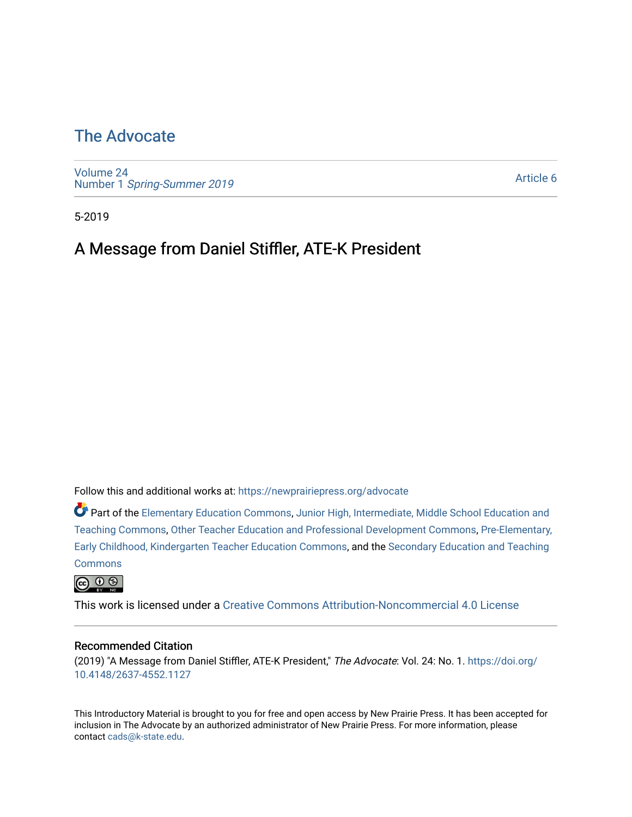# [The Advocate](https://newprairiepress.org/advocate)

[Volume 24](https://newprairiepress.org/advocate/vol24) Number 1 [Spring-Summer 2019](https://newprairiepress.org/advocate/vol24/iss1)

[Article 6](https://newprairiepress.org/advocate/vol24/iss1/6) 

5-2019

## A Message from Daniel Stiffler, ATE-K President

Follow this and additional works at: [https://newprairiepress.org/advocate](https://newprairiepress.org/advocate?utm_source=newprairiepress.org%2Fadvocate%2Fvol24%2Fiss1%2F6&utm_medium=PDF&utm_campaign=PDFCoverPages) 

Part of the [Elementary Education Commons,](http://network.bepress.com/hgg/discipline/1378?utm_source=newprairiepress.org%2Fadvocate%2Fvol24%2Fiss1%2F6&utm_medium=PDF&utm_campaign=PDFCoverPages) [Junior High, Intermediate, Middle School Education and](http://network.bepress.com/hgg/discipline/807?utm_source=newprairiepress.org%2Fadvocate%2Fvol24%2Fiss1%2F6&utm_medium=PDF&utm_campaign=PDFCoverPages) [Teaching Commons](http://network.bepress.com/hgg/discipline/807?utm_source=newprairiepress.org%2Fadvocate%2Fvol24%2Fiss1%2F6&utm_medium=PDF&utm_campaign=PDFCoverPages), [Other Teacher Education and Professional Development Commons,](http://network.bepress.com/hgg/discipline/810?utm_source=newprairiepress.org%2Fadvocate%2Fvol24%2Fiss1%2F6&utm_medium=PDF&utm_campaign=PDFCoverPages) [Pre-Elementary,](http://network.bepress.com/hgg/discipline/808?utm_source=newprairiepress.org%2Fadvocate%2Fvol24%2Fiss1%2F6&utm_medium=PDF&utm_campaign=PDFCoverPages) [Early Childhood, Kindergarten Teacher Education Commons](http://network.bepress.com/hgg/discipline/808?utm_source=newprairiepress.org%2Fadvocate%2Fvol24%2Fiss1%2F6&utm_medium=PDF&utm_campaign=PDFCoverPages), and the [Secondary Education and Teaching](http://network.bepress.com/hgg/discipline/809?utm_source=newprairiepress.org%2Fadvocate%2Fvol24%2Fiss1%2F6&utm_medium=PDF&utm_campaign=PDFCoverPages) **[Commons](http://network.bepress.com/hgg/discipline/809?utm_source=newprairiepress.org%2Fadvocate%2Fvol24%2Fiss1%2F6&utm_medium=PDF&utm_campaign=PDFCoverPages)** 

 $\circledcirc$   $\circledcirc$ 

This work is licensed under a [Creative Commons Attribution-Noncommercial 4.0 License](https://creativecommons.org/licenses/by-nc/4.0/)

#### Recommended Citation

(2019) "A Message from Daniel Stiffler, ATE-K President," The Advocate: Vol. 24: No. 1. [https://doi.org/](https://doi.org/10.4148/2637-4552.1127) [10.4148/2637-4552.1127](https://doi.org/10.4148/2637-4552.1127)

This Introductory Material is brought to you for free and open access by New Prairie Press. It has been accepted for inclusion in The Advocate by an authorized administrator of New Prairie Press. For more information, please contact [cads@k-state.edu](mailto:cads@k-state.edu).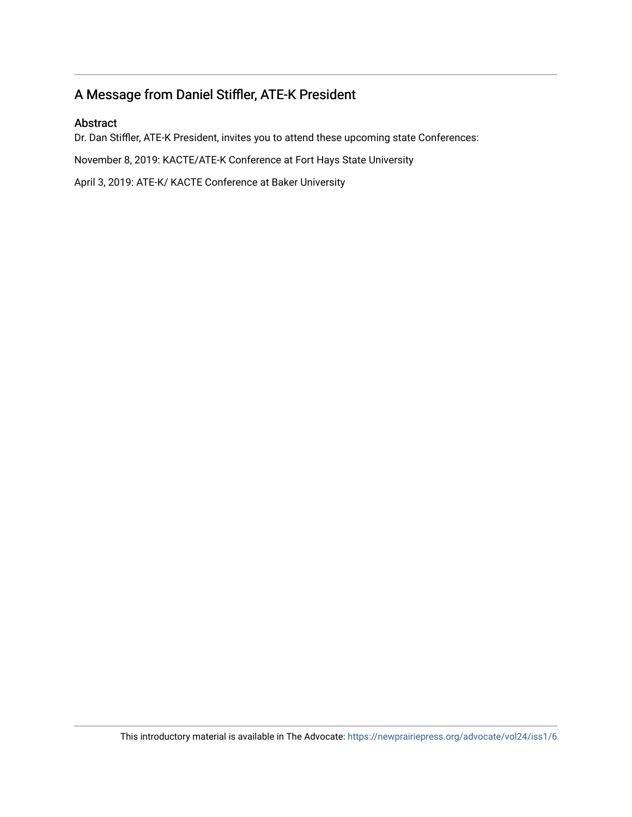### A Message from Daniel Stiffler, ATE-K President

#### Abstract

Dr. Dan Stiffler, ATE-K President, invites you to attend these upcoming state Conferences:

November 8, 2019: KACTE/ATE-K Conference at Fort Hays State University

April 3, 2019: ATE-K/ KACTE Conference at Baker University